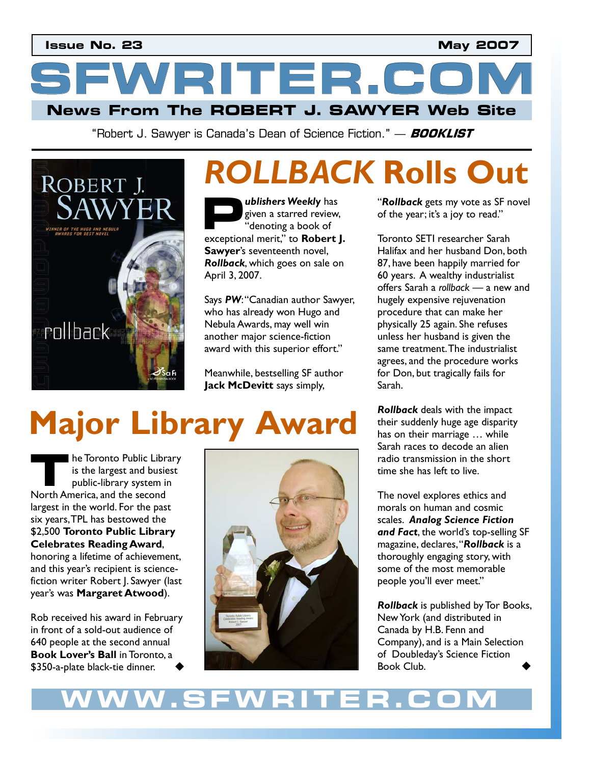**News From The ROBERT J. SAWYER Web Site SFWRITER.COM** 

"Robert J. Sawyer is Canada's Dean of Science Fiction." — **BOOKLIST**



# **ROLLBACK Rolls Out**<br> **D** ublishers Weekly has "Rollback gets my vote as SF novel

*ublishers Weekly* has given a starred review, "denoting a book of **ublishers Weekly** has<br>given a starred review,<br>"denoting a book of<br>exceptional merit," to **Robert J. Sawyer**'s seventeenth novel, *Rollback*, which goes on sale on April 3, 2007.

Says *PW*: "Canadian author Sawyer, who has already won Hugo and Nebula Awards, may well win another major science-fiction award with this superior effort."

Meanwhile, bestselling SF author **Jack McDevitt** says simply,

# **Major Library Award**

he Toronto Public Library is the largest and busiest public-library system in **1989 • The Toronto Public Library**<br>
is the largest and busic<br>
public-library system in<br>
North America, and the second largest in the world. For the past six years, TPL has bestowed the \$2,500 **Toronto Public Library Celebrates Reading Award**, honoring a lifetime of achievement, and this year's recipient is sciencefiction writer Robert J. Sawyer (last year's was **Margaret Atwood**).

Rob received his award in February in front of a sold-out audience of 640 people at the second annual **Book Lover's Ball** in Toronto, a \$350-a-plate black-tie dinner.



"*Rollback* gets my vote as SF novel of the year; it's a joy to read."

Toronto SETI researcher Sarah Halifax and her husband Don, both 87, have been happily married for 60 years. A wealthy industrialist offers Sarah a *rollback* – a new and hugely expensive rejuvenation procedure that can make her physically 25 again. She refuses unless her husband is given the same treatment. The industrialist agrees, and the procedure works for Don, but tragically fails for Sarah.

*Rollback* deals with the impact their suddenly huge age disparity has on their marriage … while Sarah races to decode an alien radio transmission in the short time she has left to live.

The novel explores ethics and morals on human and cosmic scales. *Analog Science Fiction and Fact*, the world's top-selling SF magazine, declares, "*Rollback* is a thoroughly engaging story, with some of the most memorable people you'll ever meet."

*Rollback* is published by Tor Books, New York (and distributed in Canada by H.B. Fenn and Company), and is a Main Selection of Doubleday's Science Fiction Book Club.

# **WWW.SFWRITER.COM**